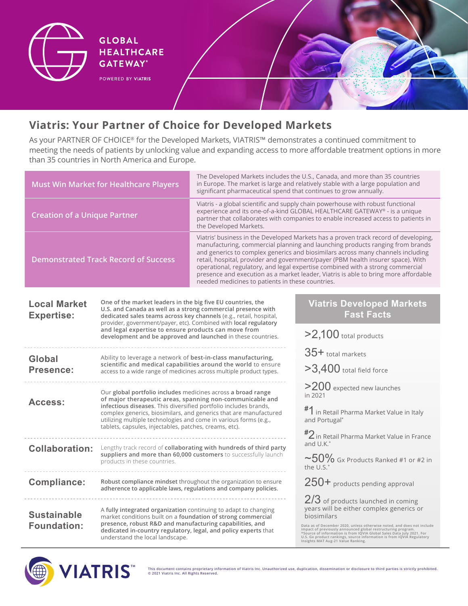

**HEALTHCARE GATEWAY® POWERED BY VIATRIS** 

**GLOBAL** 

**Viatris: Your Partner of Choice for Developed Markets**

As your PARTNER OF CHOICE® for the Developed Markets, VIATRIS™ demonstrates a continued commitment to meeting the needs of patients by unlocking value and expanding access to more affordable treatment options in more than 35 countries in North America and Europe.

| <b>Must Win Market for Healthcare Players</b> |                                                                                                                                                                                                                                                                                                                                                                                                  | The Developed Markets includes the U.S., Canada, and more than 35 countries<br>in Europe. The market is large and relatively stable with a large population and<br>significant pharmaceutical spend that continues to grow annually.                                                                                                                                                                                                                                                                                                                                     |                                                                                                                                                                                                                                                                                                                                       |  |
|-----------------------------------------------|--------------------------------------------------------------------------------------------------------------------------------------------------------------------------------------------------------------------------------------------------------------------------------------------------------------------------------------------------------------------------------------------------|--------------------------------------------------------------------------------------------------------------------------------------------------------------------------------------------------------------------------------------------------------------------------------------------------------------------------------------------------------------------------------------------------------------------------------------------------------------------------------------------------------------------------------------------------------------------------|---------------------------------------------------------------------------------------------------------------------------------------------------------------------------------------------------------------------------------------------------------------------------------------------------------------------------------------|--|
| <b>Creation of a Unique Partner</b>           |                                                                                                                                                                                                                                                                                                                                                                                                  | Viatris - a global scientific and supply chain powerhouse with robust functional<br>experience and its one-of-a-kind GLOBAL HEALTHCARE GATEWAY® - is a unique<br>partner that collaborates with companies to enable increased access to patients in<br>the Developed Markets.                                                                                                                                                                                                                                                                                            |                                                                                                                                                                                                                                                                                                                                       |  |
| <b>Demonstrated Track Record of Success</b>   |                                                                                                                                                                                                                                                                                                                                                                                                  | Viatris' business in the Developed Markets has a proven track record of developing,<br>manufacturing, commercial planning and launching products ranging from brands<br>and generics to complex generics and biosimilars across many channels including<br>retail, hospital, provider and government/payer (PBM health insurer space). With<br>operational, regulatory, and legal expertise combined with a strong commercial<br>presence and execution as a market leader, Viatris is able to bring more affordable<br>needed medicines to patients in these countries. |                                                                                                                                                                                                                                                                                                                                       |  |
| <b>Local Market</b><br><b>Expertise:</b>      | One of the market leaders in the big five EU countries, the<br>U.S. and Canada as well as a strong commercial presence with<br>dedicated sales teams across key channels (e.g., retail, hospital,<br>provider, government/payer, etc). Combined with local regulatory<br>and legal expertise to ensure products can move from<br>development and be approved and launched in these countries.    |                                                                                                                                                                                                                                                                                                                                                                                                                                                                                                                                                                          | <b>Viatris Developed Markets</b><br><b>Fast Facts</b>                                                                                                                                                                                                                                                                                 |  |
|                                               |                                                                                                                                                                                                                                                                                                                                                                                                  |                                                                                                                                                                                                                                                                                                                                                                                                                                                                                                                                                                          | $>2,100$ total products                                                                                                                                                                                                                                                                                                               |  |
| Global                                        | Ability to leverage a network of best-in-class manufacturing,<br>scientific and medical capabilities around the world to ensure<br>access to a wide range of medicines across multiple product types.                                                                                                                                                                                            |                                                                                                                                                                                                                                                                                                                                                                                                                                                                                                                                                                          | 35+ total markets                                                                                                                                                                                                                                                                                                                     |  |
| Presence:                                     |                                                                                                                                                                                                                                                                                                                                                                                                  |                                                                                                                                                                                                                                                                                                                                                                                                                                                                                                                                                                          | $>3,400$ total field force                                                                                                                                                                                                                                                                                                            |  |
| Access:                                       | Our global portfolio includes medicines across a broad range<br>of major therapeutic areas, spanning non-communicable and<br>infectious diseases. This diversified portfolio includes brands,<br>complex generics, biosimilars, and generics that are manufactured<br>utilizing multiple technologies and come in various forms (e.g.,<br>tablets, capsules, injectables, patches, creams, etc). |                                                                                                                                                                                                                                                                                                                                                                                                                                                                                                                                                                          | >200 expected new launches<br>in 2021                                                                                                                                                                                                                                                                                                 |  |
|                                               |                                                                                                                                                                                                                                                                                                                                                                                                  |                                                                                                                                                                                                                                                                                                                                                                                                                                                                                                                                                                          | $^{\#}1$ in Retail Pharma Market Value in Italy<br>and Portugal*                                                                                                                                                                                                                                                                      |  |
|                                               |                                                                                                                                                                                                                                                                                                                                                                                                  |                                                                                                                                                                                                                                                                                                                                                                                                                                                                                                                                                                          | $^{\#2}$ in Retail Pharma Market Value in France<br>and U.K.*                                                                                                                                                                                                                                                                         |  |
| <b>Collaboration:</b>                         | Lengthy track record of collaborating with hundreds of third party<br>suppliers and more than 60,000 customers to successfully launch<br>products in these countries.                                                                                                                                                                                                                            |                                                                                                                                                                                                                                                                                                                                                                                                                                                                                                                                                                          | $\sim$ 50% Gx Products Ranked #1 or #2 in<br>the U.S.*                                                                                                                                                                                                                                                                                |  |
| <b>Compliance:</b>                            | Robust compliance mindset throughout the organization to ensure<br>adherence to applicable laws, regulations and company policies.                                                                                                                                                                                                                                                               |                                                                                                                                                                                                                                                                                                                                                                                                                                                                                                                                                                          | 250+ products pending approval                                                                                                                                                                                                                                                                                                        |  |
| <b>Sustainable</b><br><b>Foundation:</b>      | A fully integrated organization continuing to adapt to changing<br>market conditions built on a foundation of strong commercial<br>presence, robust R&D and manufacturing capabilities, and<br>dedicated in-country regulatory, legal, and policy experts that                                                                                                                                   |                                                                                                                                                                                                                                                                                                                                                                                                                                                                                                                                                                          | 2/3 of products launched in coming<br>years will be either complex generics or<br>biosimilars<br>Data as of December 2020, unless otherwise noted, and does not include impact of previously announced global restructuring program.<br>"Source of information is from IQVIA Global Sales Data July 2021. For<br>"Source of informati |  |
|                                               | understand the local landscape.                                                                                                                                                                                                                                                                                                                                                                  |                                                                                                                                                                                                                                                                                                                                                                                                                                                                                                                                                                          |                                                                                                                                                                                                                                                                                                                                       |  |



**This document contains proprietary information of Viatris Inc. Unauthorized use, duplication, dissemination or disclosure to third parties is strictly prohibited. © 2021 Viatris Inc. All Rights Reserved.**